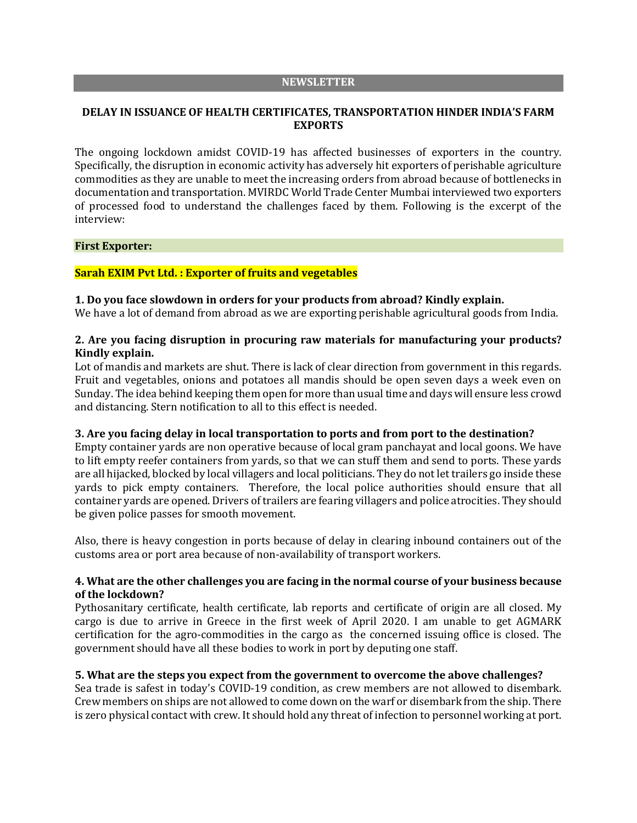#### **NEWSLETTER**

# **DELAY IN ISSUANCE OF HEALTH CERTIFICATES, TRANSPORTATION HINDER INDIA'S FARM EXPORTS**

The ongoing lockdown amidst COVID-19 has affected businesses of exporters in the country. Specifically, the disruption in economic activity has adversely hit exporters of perishable agriculture commodities as they are unable to meet the increasing orders from abroad because of bottlenecks in documentation and transportation. MVIRDC World Trade Center Mumbai interviewed two exporters of processed food to understand the challenges faced by them. Following is the excerpt of the interview:

### **First Exporter:**

### **Sarah EXIM Pvt Ltd. : Exporter of fruits and vegetables**

### **1. Do you face slowdown in orders for your products from abroad? Kindly explain.**

We have a lot of demand from abroad as we are exporting perishable agricultural goods from India.

# **2. Are you facing disruption in procuring raw materials for manufacturing your products? Kindly explain.**

Lot of mandis and markets are shut. There is lack of clear direction from government in this regards. Fruit and vegetables, onions and potatoes all mandis should be open seven days a week even on Sunday. The idea behind keeping them open for more than usual time and days will ensure less crowd and distancing. Stern notification to all to this effect is needed.

## **3. Are you facing delay in local transportation to ports and from port to the destination?**

Empty container yards are non operative because of local gram panchayat and local goons. We have to lift empty reefer containers from yards, so that we can stuff them and send to ports. These yards are all hijacked, blocked by local villagers and local politicians. They do not let trailers go inside these yards to pick empty containers. Therefore, the local police authorities should ensure that all container yards are opened. Drivers of trailers are fearing villagers and police atrocities. They should be given police passes for smooth movement.

Also, there is heavy congestion in ports because of delay in clearing inbound containers out of the customs area or port area because of non-availability of transport workers.

# **4. What are the other challenges you are facing in the normal course of your business because of the lockdown?**

Pythosanitary certificate, health certificate, lab reports and certificate of origin are all closed. My cargo is due to arrive in Greece in the first week of April 2020. I am unable to get AGMARK certification for the agro-commodities in the cargo as the concerned issuing office is closed. The government should have all these bodies to work in port by deputing one staff.

## **5. What are the steps you expect from the government to overcome the above challenges?**

Sea trade is safest in today's COVID-19 condition, as crew members are not allowed to disembark. Crew members on ships are not allowed to come down on the warf or disembark from the ship. There is zero physical contact with crew. It should hold any threat of infection to personnel working at port.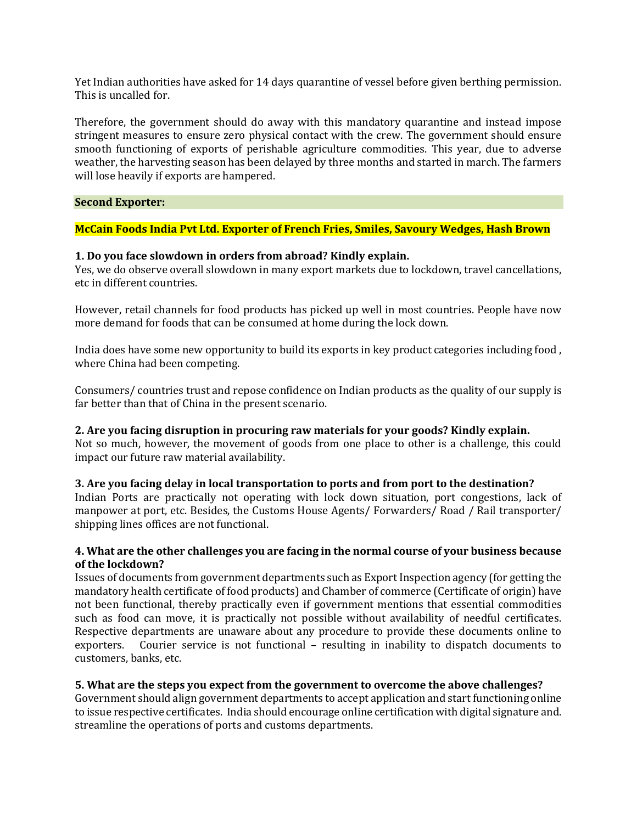Yet Indian authorities have asked for 14 days quarantine of vessel before given berthing permission. This is uncalled for.

Therefore, the government should do away with this mandatory quarantine and instead impose stringent measures to ensure zero physical contact with the crew. The government should ensure smooth functioning of exports of perishable agriculture commodities. This year, due to adverse weather, the harvesting season has been delayed by three months and started in march. The farmers will lose heavily if exports are hampered.

## **Second Exporter:**

## **McCain Foods India Pvt Ltd. Exporter of French Fries, Smiles, Savoury Wedges, Hash Brown**

## **1. Do you face slowdown in orders from abroad? Kindly explain.**

Yes, we do observe overall slowdown in many export markets due to lockdown, travel cancellations, etc in different countries.

However, retail channels for food products has picked up well in most countries. People have now more demand for foods that can be consumed at home during the lock down.

India does have some new opportunity to build its exports in key product categories including food , where China had been competing.

Consumers/ countries trust and repose confidence on Indian products as the quality of our supply is far better than that of China in the present scenario.

#### **2. Are you facing disruption in procuring raw materials for your goods? Kindly explain.**

Not so much, however, the movement of goods from one place to other is a challenge, this could impact our future raw material availability.

#### **3. Are you facing delay in local transportation to ports and from port to the destination?**

Indian Ports are practically not operating with lock down situation, port congestions, lack of manpower at port, etc. Besides, the Customs House Agents/ Forwarders/ Road / Rail transporter/ shipping lines offices are not functional.

## **4. What are the other challenges you are facing in the normal course of your business because of the lockdown?**

Issues of documents from government departments such as Export Inspection agency (for getting the mandatory health certificate of food products) and Chamber of commerce (Certificate of origin) have not been functional, thereby practically even if government mentions that essential commodities such as food can move, it is practically not possible without availability of needful certificates. Respective departments are unaware about any procedure to provide these documents online to exporters. Courier service is not functional – resulting in inability to dispatch documents to customers, banks, etc.

#### **5. What are the steps you expect from the government to overcome the above challenges?**

Government should align government departments to accept application and start functioning online to issue respective certificates. India should encourage online certification with digital signature and. streamline the operations of ports and customs departments.